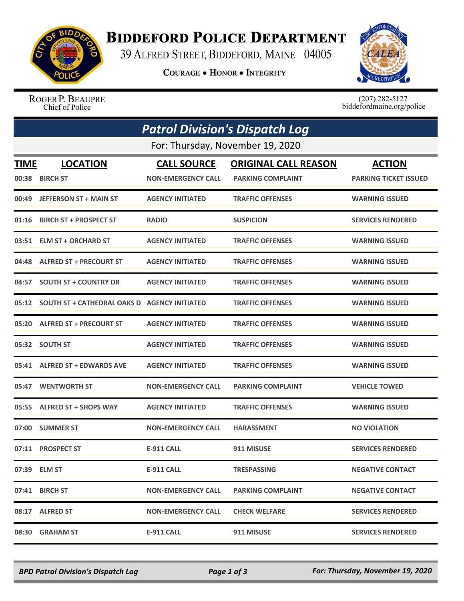

## **BIDDEFORD POLICE DEPARTMENT**

39 ALFRED STREET, BIDDEFORD, MAINE 04005

**COURAGE . HONOR . INTEGRITY** 



ROGER P. BEAUPRE Chief of Police

 $(207)$  282-5127<br>biddefordmaine.org/police

| <b>Patrol Division's Dispatch Log</b> |                                                     |                           |                             |                              |  |  |  |
|---------------------------------------|-----------------------------------------------------|---------------------------|-----------------------------|------------------------------|--|--|--|
|                                       | For: Thursday, November 19, 2020                    |                           |                             |                              |  |  |  |
| TIME                                  | <b>LOCATION</b>                                     | <b>CALL SOURCE</b>        | <b>ORIGINAL CALL REASON</b> | <b>ACTION</b>                |  |  |  |
| 00:38                                 | <b>BIRCH ST</b>                                     | <b>NON-EMERGENCY CALL</b> | <b>PARKING COMPLAINT</b>    | <b>PARKING TICKET ISSUED</b> |  |  |  |
| 00:49                                 | <b>JEFFERSON ST + MAIN ST</b>                       | <b>AGENCY INITIATED</b>   | <b>TRAFFIC OFFENSES</b>     | <b>WARNING ISSUED</b>        |  |  |  |
| 01:16                                 | <b>BIRCH ST + PROSPECT ST</b>                       | <b>RADIO</b>              | <b>SUSPICION</b>            | <b>SERVICES RENDERED</b>     |  |  |  |
|                                       | 03:51 ELM ST + ORCHARD ST                           | <b>AGENCY INITIATED</b>   | <b>TRAFFIC OFFENSES</b>     | <b>WARNING ISSUED</b>        |  |  |  |
|                                       | 04:48 ALFRED ST + PRECOURT ST                       | <b>AGENCY INITIATED</b>   | <b>TRAFFIC OFFENSES</b>     | <b>WARNING ISSUED</b>        |  |  |  |
| 04:57                                 | <b>SOUTH ST + COUNTRY DR</b>                        | <b>AGENCY INITIATED</b>   | <b>TRAFFIC OFFENSES</b>     | <b>WARNING ISSUED</b>        |  |  |  |
| 05:12                                 | <b>SOUTH ST + CATHEDRAL OAKS D AGENCY INITIATED</b> |                           | <b>TRAFFIC OFFENSES</b>     | <b>WARNING ISSUED</b>        |  |  |  |
|                                       | 05:20 ALFRED ST + PRECOURT ST                       | <b>AGENCY INITIATED</b>   | <b>TRAFFIC OFFENSES</b>     | <b>WARNING ISSUED</b>        |  |  |  |
|                                       | 05:32 SOUTH ST                                      | <b>AGENCY INITIATED</b>   | <b>TRAFFIC OFFENSES</b>     | <b>WARNING ISSUED</b>        |  |  |  |
|                                       | 05:41 ALFRED ST + EDWARDS AVE                       | <b>AGENCY INITIATED</b>   | <b>TRAFFIC OFFENSES</b>     | <b>WARNING ISSUED</b>        |  |  |  |
| 05:47                                 | <b>WENTWORTH ST</b>                                 | <b>NON-EMERGENCY CALL</b> | <b>PARKING COMPLAINT</b>    | <b>VEHICLE TOWED</b>         |  |  |  |
|                                       | 05:55 ALFRED ST + SHOPS WAY                         | <b>AGENCY INITIATED</b>   | <b>TRAFFIC OFFENSES</b>     | <b>WARNING ISSUED</b>        |  |  |  |
| 07:00                                 | <b>SUMMER ST</b>                                    | <b>NON-EMERGENCY CALL</b> | <b>HARASSMENT</b>           | <b>NO VIOLATION</b>          |  |  |  |
|                                       | 07:11 PROSPECT ST                                   | <b>E-911 CALL</b>         | 911 MISUSE                  | <b>SERVICES RENDERED</b>     |  |  |  |
|                                       | 07:39 ELM ST                                        | <b>E-911 CALL</b>         | <b>TRESPASSING</b>          | <b>NEGATIVE CONTACT</b>      |  |  |  |
|                                       | 07:41 BIRCH ST                                      | <b>NON-EMERGENCY CALL</b> | <b>PARKING COMPLAINT</b>    | <b>NEGATIVE CONTACT</b>      |  |  |  |
|                                       | 08:17 ALFRED ST                                     | <b>NON-EMERGENCY CALL</b> | <b>CHECK WELFARE</b>        | <b>SERVICES RENDERED</b>     |  |  |  |
| 08:30                                 | <b>GRAHAM ST</b>                                    | <b>E-911 CALL</b>         | 911 MISUSE                  | <b>SERVICES RENDERED</b>     |  |  |  |

*BPD Patrol Division's Dispatch Log Page 1 of 3 For: Thursday, November 19, 2020*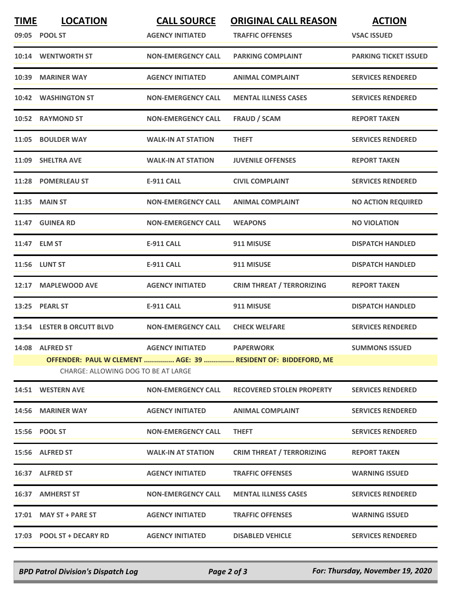| <b>TIME</b> | <b>LOCATION</b>                                                                                      | <b>CALL SOURCE</b>        | <b>ORIGINAL CALL REASON</b>      | <b>ACTION</b>                |  |  |  |
|-------------|------------------------------------------------------------------------------------------------------|---------------------------|----------------------------------|------------------------------|--|--|--|
|             | 09:05 POOL ST                                                                                        | <b>AGENCY INITIATED</b>   | <b>TRAFFIC OFFENSES</b>          | <b>VSAC ISSUED</b>           |  |  |  |
|             | 10:14 WENTWORTH ST                                                                                   | <b>NON-EMERGENCY CALL</b> | <b>PARKING COMPLAINT</b>         | <b>PARKING TICKET ISSUED</b> |  |  |  |
| 10:39       | <b>MARINER WAY</b>                                                                                   | <b>AGENCY INITIATED</b>   | <b>ANIMAL COMPLAINT</b>          | <b>SERVICES RENDERED</b>     |  |  |  |
|             | 10:42 WASHINGTON ST                                                                                  | <b>NON-EMERGENCY CALL</b> | <b>MENTAL ILLNESS CASES</b>      | <b>SERVICES RENDERED</b>     |  |  |  |
|             | 10:52 RAYMOND ST                                                                                     | <b>NON-EMERGENCY CALL</b> | <b>FRAUD / SCAM</b>              | <b>REPORT TAKEN</b>          |  |  |  |
|             | 11:05 BOULDER WAY                                                                                    | <b>WALK-IN AT STATION</b> | <b>THEFT</b>                     | <b>SERVICES RENDERED</b>     |  |  |  |
| 11:09       | <b>SHELTRA AVE</b>                                                                                   | <b>WALK-IN AT STATION</b> | <b>JUVENILE OFFENSES</b>         | <b>REPORT TAKEN</b>          |  |  |  |
|             | 11:28 POMERLEAU ST                                                                                   | <b>E-911 CALL</b>         | <b>CIVIL COMPLAINT</b>           | <b>SERVICES RENDERED</b>     |  |  |  |
|             | 11:35 MAIN ST                                                                                        | <b>NON-EMERGENCY CALL</b> | <b>ANIMAL COMPLAINT</b>          | <b>NO ACTION REQUIRED</b>    |  |  |  |
|             | 11:47 GUINEA RD                                                                                      | <b>NON-EMERGENCY CALL</b> | <b>WEAPONS</b>                   | <b>NO VIOLATION</b>          |  |  |  |
|             | 11:47 ELM ST                                                                                         | E-911 CALL                | 911 MISUSE                       | <b>DISPATCH HANDLED</b>      |  |  |  |
|             | 11:56 LUNT ST                                                                                        | <b>E-911 CALL</b>         | 911 MISUSE                       | <b>DISPATCH HANDLED</b>      |  |  |  |
| 12:17       | <b>MAPLEWOOD AVE</b>                                                                                 | <b>AGENCY INITIATED</b>   | <b>CRIM THREAT / TERRORIZING</b> | <b>REPORT TAKEN</b>          |  |  |  |
| 13:25       | <b>PEARL ST</b>                                                                                      | <b>E-911 CALL</b>         | 911 MISUSE                       | <b>DISPATCH HANDLED</b>      |  |  |  |
|             | 13:54 LESTER B ORCUTT BLVD                                                                           | <b>NON-EMERGENCY CALL</b> | <b>CHECK WELFARE</b>             | <b>SERVICES RENDERED</b>     |  |  |  |
|             | 14:08 ALFRED ST                                                                                      | <b>AGENCY INITIATED</b>   | <b>PAPERWORK</b>                 | <b>SUMMONS ISSUED</b>        |  |  |  |
|             | OFFENDER: PAUL W CLEMENT  AGE: 39  RESIDENT OF: BIDDEFORD, ME<br>CHARGE: ALLOWING DOG TO BE AT LARGE |                           |                                  |                              |  |  |  |
|             | 14:51 WESTERN AVE                                                                                    | <b>NON-EMERGENCY CALL</b> | <b>RECOVERED STOLEN PROPERTY</b> | <b>SERVICES RENDERED</b>     |  |  |  |
|             | 14:56 MARINER WAY                                                                                    | <b>AGENCY INITIATED</b>   | <b>ANIMAL COMPLAINT</b>          | <b>SERVICES RENDERED</b>     |  |  |  |
|             | 15:56 POOL ST                                                                                        | <b>NON-EMERGENCY CALL</b> | <b>THEFT</b>                     | <b>SERVICES RENDERED</b>     |  |  |  |
|             | 15:56 ALFRED ST                                                                                      | <b>WALK-IN AT STATION</b> | <b>CRIM THREAT / TERRORIZING</b> | <b>REPORT TAKEN</b>          |  |  |  |
|             | 16:37 ALFRED ST                                                                                      | <b>AGENCY INITIATED</b>   | <b>TRAFFIC OFFENSES</b>          | <b>WARNING ISSUED</b>        |  |  |  |
|             | 16:37 AMHERST ST                                                                                     | <b>NON-EMERGENCY CALL</b> | <b>MENTAL ILLNESS CASES</b>      | <b>SERVICES RENDERED</b>     |  |  |  |
|             | 17:01 MAY ST + PARE ST                                                                               | <b>AGENCY INITIATED</b>   | <b>TRAFFIC OFFENSES</b>          | <b>WARNING ISSUED</b>        |  |  |  |
|             | 17:03 POOL ST + DECARY RD                                                                            | <b>AGENCY INITIATED</b>   | <b>DISABLED VEHICLE</b>          | <b>SERVICES RENDERED</b>     |  |  |  |

*BPD Patrol Division's Dispatch Log Page 2 of 3 For: Thursday, November 19, 2020*